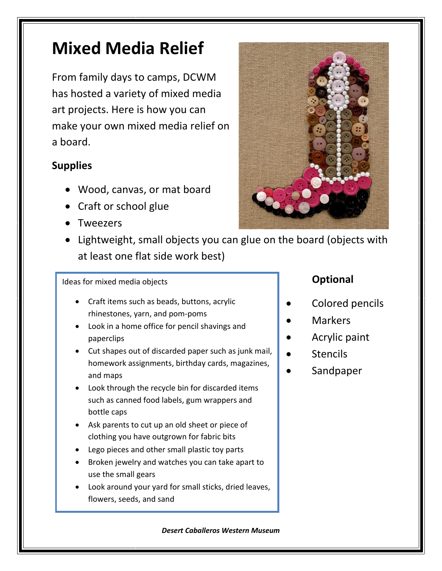# **Mixed Media Relief**

From family days to camps, DCWM has hosted a variety of mixed media art projects. Here is how you can make your own mixed media relief on a board.

## **Supplies**

- Wood, canvas, or mat board
- Craft or school glue
- **Tweezers**



• Lightweight, small objects you can glue on the board (objects with at least one flat side work best)

#### Ideas for mixed media objects

- Craft items such as beads, buttons, acrylic rhinestones, yarn, and pom-poms
- Look in a home office for pencil shavings and paperclips
- Cut shapes out of discarded paper such as junk mail, homework assignments, birthday cards, magazines, and maps
- Look through the recycle bin for discarded items such as canned food labels, gum wrappers and bottle caps
- Ask parents to cut up an old sheet or piece of clothing you have outgrown for fabric bits
- Lego pieces and other small plastic toy parts
- Broken jewelry and watches you can take apart to use the small gears
- Look around your yard for small sticks, dried leaves, flowers, seeds, and sand

### **Optional**

- Colored pencils
- Markers
- Acrylic paint
- **Stencils**
- **Sandpaper**

#### *Desert Caballeros Western Museum*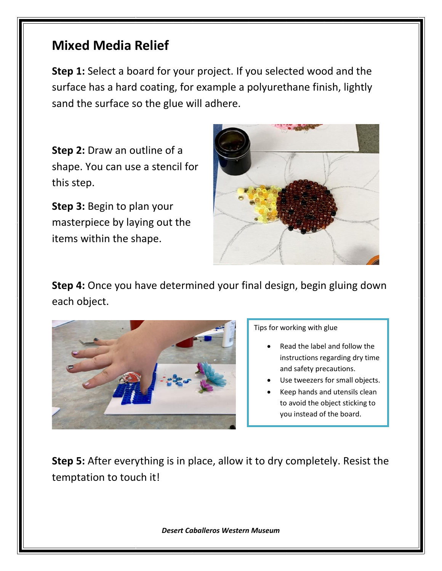## **Mixed Media Relief**

**Step 1:** Select a board for your project. If you selected wood and the surface has a hard coating, for example a polyurethane finish, lightly sand the surface so the glue will adhere.

**Step 2:** Draw an outline of a shape. You can use a stencil for this step.

**Step 3:** Begin to plan your masterpiece by laying out the items within the shape.



**Step 4:** Once you have determined your final design, begin gluing down each object.



Tips for working with glue

- Read the label and follow the instructions regarding dry time and safety precautions.
- Use tweezers for small objects.
- Keep hands and utensils clean to avoid the object sticking to you instead of the board.

**Step 5:** After everything is in place, allow it to dry completely. Resist the temptation to touch it!

*Desert Caballeros Western Museum*